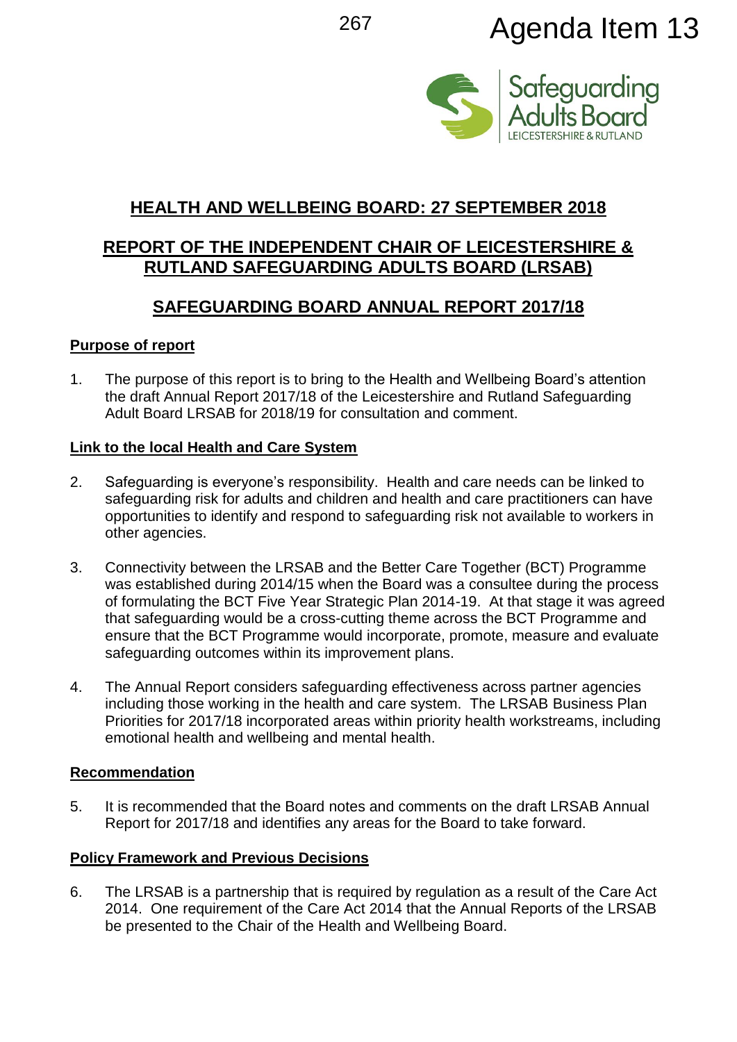# <sup>267</sup> Agenda Item 13



# **HEALTH AND WELLBEING BOARD: 27 SEPTEMBER 2018**

# **REPORT OF THE INDEPENDENT CHAIR OF LEICESTERSHIRE & RUTLAND SAFEGUARDING ADULTS BOARD (LRSAB)**

# **SAFEGUARDING BOARD ANNUAL REPORT 2017/18**

## **Purpose of report**

1. The purpose of this report is to bring to the Health and Wellbeing Board's attention the draft Annual Report 2017/18 of the Leicestershire and Rutland Safeguarding Adult Board LRSAB for 2018/19 for consultation and comment.

#### **Link to the local Health and Care System**

- 2. Safeguarding is everyone's responsibility. Health and care needs can be linked to safeguarding risk for adults and children and health and care practitioners can have opportunities to identify and respond to safeguarding risk not available to workers in other agencies.
- 3. Connectivity between the LRSAB and the Better Care Together (BCT) Programme was established during 2014/15 when the Board was a consultee during the process of formulating the BCT Five Year Strategic Plan 2014-19. At that stage it was agreed that safeguarding would be a cross-cutting theme across the BCT Programme and ensure that the BCT Programme would incorporate, promote, measure and evaluate safeguarding outcomes within its improvement plans.
- 4. The Annual Report considers safeguarding effectiveness across partner agencies including those working in the health and care system. The LRSAB Business Plan Priorities for 2017/18 incorporated areas within priority health workstreams, including emotional health and wellbeing and mental health.

#### **Recommendation**

5. It is recommended that the Board notes and comments on the draft LRSAB Annual Report for 2017/18 and identifies any areas for the Board to take forward.

## **Policy Framework and Previous Decisions**

6. The LRSAB is a partnership that is required by regulation as a result of the Care Act 2014. One requirement of the Care Act 2014 that the Annual Reports of the LRSAB be presented to the Chair of the Health and Wellbeing Board.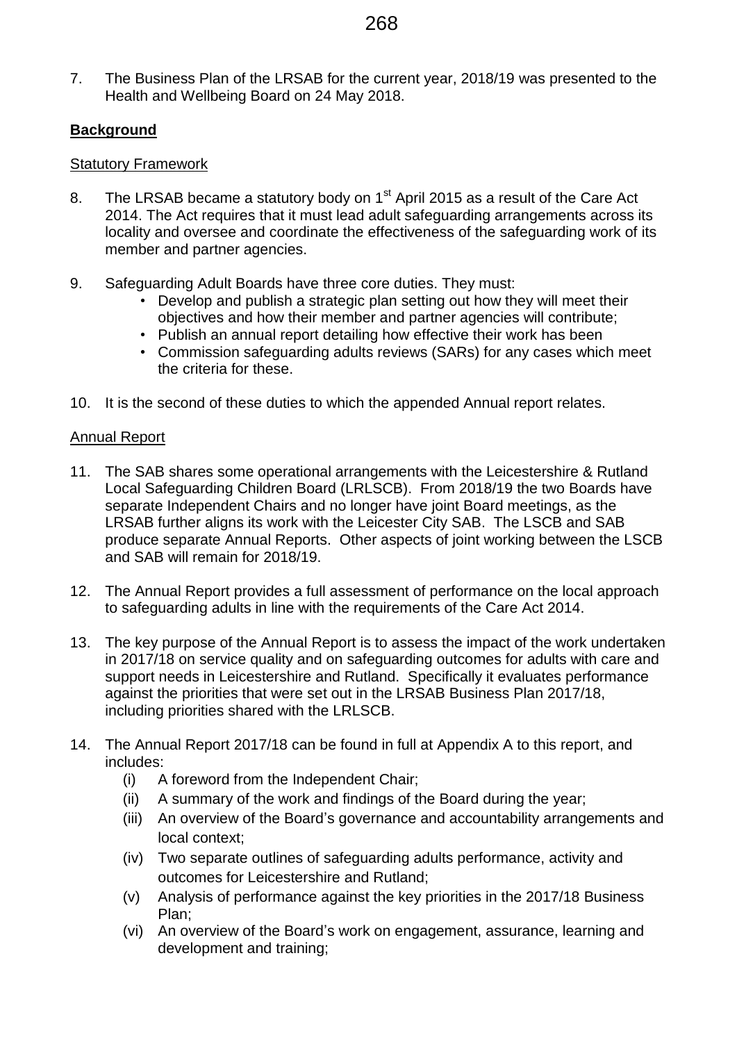7. The Business Plan of the LRSAB for the current year, 2018/19 was presented to the Health and Wellbeing Board on 24 May 2018.

## **Background**

#### Statutory Framework

- 8. The LRSAB became a statutory body on 1<sup>st</sup> April 2015 as a result of the Care Act 2014. The Act requires that it must lead adult safeguarding arrangements across its locality and oversee and coordinate the effectiveness of the safeguarding work of its member and partner agencies.
- 9. Safeguarding Adult Boards have three core duties. They must:
	- Develop and publish a strategic plan setting out how they will meet their objectives and how their member and partner agencies will contribute;
	- Publish an annual report detailing how effective their work has been
	- Commission safeguarding adults reviews (SARs) for any cases which meet the criteria for these.
- 10. It is the second of these duties to which the appended Annual report relates.

#### Annual Report

- 11. The SAB shares some operational arrangements with the Leicestershire & Rutland Local Safeguarding Children Board (LRLSCB). From 2018/19 the two Boards have separate Independent Chairs and no longer have joint Board meetings, as the LRSAB further aligns its work with the Leicester City SAB. The LSCB and SAB produce separate Annual Reports. Other aspects of joint working between the LSCB and SAB will remain for 2018/19.
- 12. The Annual Report provides a full assessment of performance on the local approach to safeguarding adults in line with the requirements of the Care Act 2014.
- 13. The key purpose of the Annual Report is to assess the impact of the work undertaken in 2017/18 on service quality and on safeguarding outcomes for adults with care and support needs in Leicestershire and Rutland. Specifically it evaluates performance against the priorities that were set out in the LRSAB Business Plan 2017/18, including priorities shared with the LRLSCB.
- 14. The Annual Report 2017/18 can be found in full at Appendix A to this report, and includes:
	- (i) A foreword from the Independent Chair;
	- (ii) A summary of the work and findings of the Board during the year;
	- (iii) An overview of the Board's governance and accountability arrangements and local context;
	- (iv) Two separate outlines of safeguarding adults performance, activity and outcomes for Leicestershire and Rutland;
	- (v) Analysis of performance against the key priorities in the 2017/18 Business Plan;
	- (vi) An overview of the Board's work on engagement, assurance, learning and development and training;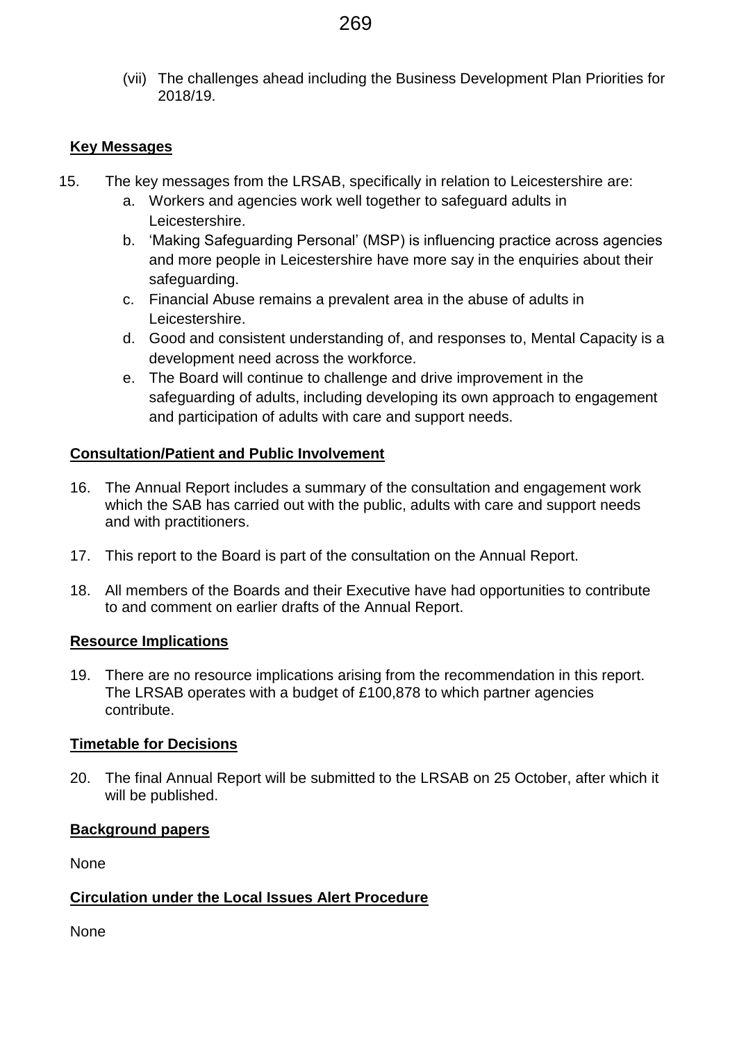(vii) The challenges ahead including the Business Development Plan Priorities for 2018/19.

## **Key Messages**

- 15. The key messages from the LRSAB, specifically in relation to Leicestershire are:
	- a. Workers and agencies work well together to safeguard adults in Leicestershire.
	- b. 'Making Safeguarding Personal' (MSP) is influencing practice across agencies and more people in Leicestershire have more say in the enquiries about their safeguarding.
	- c. Financial Abuse remains a prevalent area in the abuse of adults in Leicestershire.
	- d. Good and consistent understanding of, and responses to, Mental Capacity is a development need across the workforce.
	- e. The Board will continue to challenge and drive improvement in the safeguarding of adults, including developing its own approach to engagement and participation of adults with care and support needs.

#### **Consultation/Patient and Public Involvement**

- 16. The Annual Report includes a summary of the consultation and engagement work which the SAB has carried out with the public, adults with care and support needs and with practitioners.
- 17. This report to the Board is part of the consultation on the Annual Report.
- 18. All members of the Boards and their Executive have had opportunities to contribute to and comment on earlier drafts of the Annual Report.

#### **Resource Implications**

19. There are no resource implications arising from the recommendation in this report. The LRSAB operates with a budget of £100,878 to which partner agencies contribute.

#### **Timetable for Decisions**

20. The final Annual Report will be submitted to the LRSAB on 25 October, after which it will be published.

#### **Background papers**

None

## **Circulation under the Local Issues Alert Procedure**

None